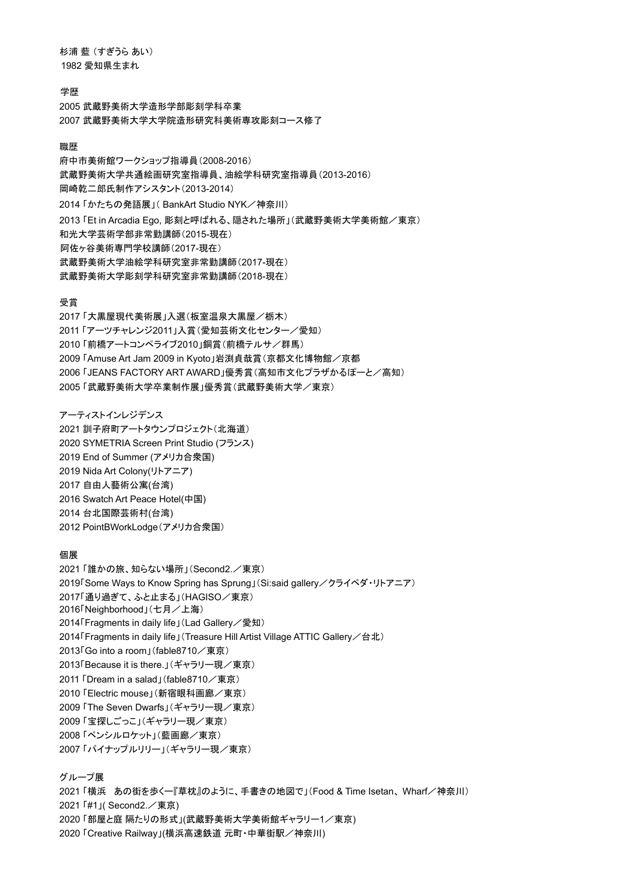杉浦 藍 (すぎうら あい) 1982 愛知県生まれ

### 学歴

2005 武蔵野美術大学造形学部彫刻学科卒業 2007 武蔵野美術大学大学院造形研究科美術専攻彫刻コース修了

#### 職歴

府中市美術館ワークショップ指導員(2008-2016) 武蔵野美術大学共通絵画研究室指導員、油絵学科研究室指導員(2013-2016) 岡崎乾二郎氏制作アシスタント(2013-2014) 2014 「かたちの発語展」( BankArt Studio NYK/神奈川) 2013 「Et in Arcadia Ego, 彫刻と呼ばれる、隠された場所」(武蔵野美術大学美術館/東京) 和光大学芸術学部非常勤講師(2015-現在) 阿佐ヶ谷美術専門学校講師(2017-現在) 武蔵野美術大学油絵学科研究室非常勤講師(2017-現在) 武蔵野美術大学彫刻学科研究室非常勤講師(2018-現在)

#### 受賞

「大黒屋現代美術展」入選(板室温泉大黒屋/栃木) 「アーツチャレンジ2011」入賞(愛知芸術文化センター/愛知) 「前橋アートコンペライブ2010」銅賞(前橋テルサ/群馬) 「Amuse Art Jam 2009 in Kyoto」岩渕貞哉賞(京都文化博物館/京都 「JEANS FACTORY ART AWARD」優秀賞(高知市文化プラザかるぽーと/高知) 「武蔵野美術大学卒業制作展」優秀賞(武蔵野美術大学/東京)

アーティストインレジデンス

2021 訓子府町アートタウンプロジェクト(北海道) 2020 SYMETRIA Screen Print Studio (フランス) 2019 End of Summer (アメリカ合衆国) 2019 Nida Art Colony(リトアニア) 2017 自由人藝術公寓(台湾) 2016 Swatch Art Peace Hotel(中国) 2014 台北国際芸術村(台湾) 2012 PointBWorkLodge(アメリカ合衆国)

#### 個展

2021 「誰かの旅、知らない場所」(Second2./東京) 2019「Some Ways to Know Spring has Sprung」(Si:said gallery/クライペダ・リトアニア) 2017「通り過ぎて、ふと止まる」(HAGISO/東京) 2016「Neighborhood」(七月/上海) 2014「Fragments in daily life」(Lad Gallery/愛知) 2014「Fragments in daily life」(Treasure Hill Artist Village ATTIC Gallery/台北) 2013「Go into a room」(fable8710/東京) 2013「Because it is there.」(ギャラリー現/東京) 2011 「Dream in a salad」(fable8710/東京) 2010 「Electric mouse」(新宿眼科画廊/東京) 2009 「The Seven Dwarfs」(ギャラリー現/東京) 2009 「宝探しごっこ」(ギャラリー現/東京) 2008 「ペンシルロケット」(藍画廊/東京) 2007 「パイナップルリリー」(ギャラリー現/東京)

# グループ展

2021 「横浜 あの街を歩くー『草枕』のように、手書きの地図で」(Food & Time Isetan、Wharf/神奈川) 2021 「#1」(Second2./東京) 2020 「部屋と庭 隔たりの形式」(武蔵野美術大学美術館ギャラリー1/東京) 2020 「Creative Railway」(横浜高速鉄道 元町・中華街駅/神奈川)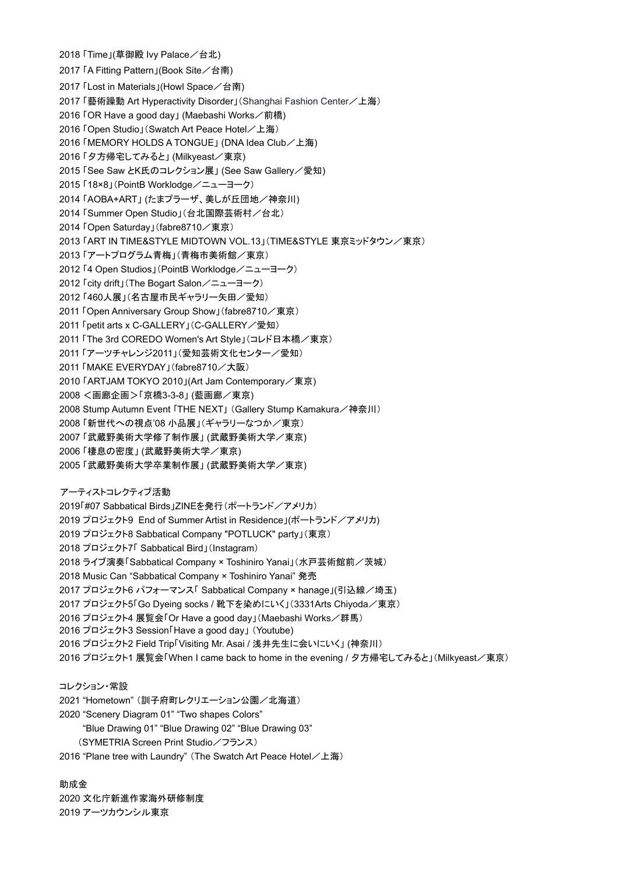2018 「Time」(草御殿 Ivy Palace/台北) 2017 「A Fitting Pattern」(Book Site/台南) 2017 「Lost in Materials」(Howl Space/台南) 2017 「藝術躁動 Art Hyperactivity Disorder」(Shanghai Fashion Center/上海) 2016 「OR Have a good day」 (Maebashi Works/前橋) 2016 「Open Studio」(Swatch Art Peace Hotel/上海) 2016 「MEMORY HOLDS A TONGUE」 (DNA Idea Club/上海) 2016 「夕方帰宅してみると」 (Milkyeast/東京) 2015 「See Saw とK氏のコレクション展」 (See Saw Gallery / 愛知) 2015 「18×8」(PointB Worklodge/ニューヨーク) 2014 「AOBA+ART」 (たまプラーザ、美しが丘団地/神奈川) 2014 「Summer Open Studio」(台北国際芸術村/台北) 2014 「Open Saturday」(fabre8710/東京) 2013 「ART IN TIME&STYLE MIDTOWN VOL.13」(TIME&STYLE 東京ミッドタウン/東京) 2013 「アートプログラム青梅」(青梅市美術館/東京) 2012 「4 Open Studios」(PointB Worklodge/ニューヨーク) 2012 「city drift」(The Bogart Salon/ニューヨーク) 2012 「460人展」(名古屋市民ギャラリー矢田/愛知) 2011 「Open Anniversary Group Show」(fabre8710/東京) 2011 「petit arts x C-GALLERY」(C-GALLERY/愛知) 2011 「The 3rd COREDO Women's Art Style」(コレド日本橋/東京) 2011 「アーツチャレンジ2011」(愛知芸術文化センター/愛知) 2011 「MAKE EVERYDAY」(fabre8710/大阪) 2010 「ARTJAM TOKYO 2010」(Art Jam Contemporary/東京) 2008 <画廊企画>「京橋3-3-8」 (藍画廊/東京) 2008 Stump Autumn Event 「THE NEXT」 (Gallery Stump Kamakura / 神奈川) 2008 「新世代への視点'08 小品展」(ギャラリーなつか/東京) 2007 「武蔵野美術大学修了制作展」 (武蔵野美術大学/東京) 2006 「棲息の密度」 (武蔵野美術大学/東京) 2005 「武蔵野美術大学卒業制作展」 (武蔵野美術大学/東京) アーティストコレクティブ活動 2019「#07 Sabbatical Birds」ZINEを発行(ポートランド/アメリカ) 2019 プロジェクト9 End of Summer Artist in Residence」(ポートランド/アメリカ) 2019 プロジェクト8 Sabbatical Company "POTLUCK" party」(東京) 2018 プロジェクト7「 Sabbatical Bird」(Instagram) 2018 ライブ演奏「Sabbatical Company × Toshiniro Yanai」(水戸芸術館前/茨城) 2018 Music Can "Sabbatical Company × Toshiniro Yanai" 発売 2017 プロジェクト6 パフォーマンス「 Sabbatical Company × hanage」(引込線/埼玉) 2017 プロジェクト5「Go Dyeing socks / 靴下を染めにいく」(3331Arts Chiyoda/東京) 2016 プロジェクト4 展覧会「Or Have a good day」(Maebashi Works/群馬) 2016 プロジェクト3 Session「Have a good day」 (Youtube) 2016 プロジェクト2 Field Trip「Visiting Mr. Asai / 浅井先生に会いにいく」 (神奈川) 2016 プロジェクト1 展覧会「When I came back to home in the evening / 夕方帰宅してみると」(Milkyeast/東京) コレクション・常設

2021 "Hometown" (訓子府町レクリエーション公園/北海道) 2020 "Scenery Diagram 01" "Two shapes Colors" "Blue Drawing 01" "Blue Drawing 02" "Blue Drawing 03" (SYMETRIA Screen Print Studio/フランス)

2016 "Plane tree with Laundry" (The Swatch Art Peace Hotel  $\angle$  上海)

助成金 2020 文化庁新進作家海外研修制度 2019 アーツカウンシル東京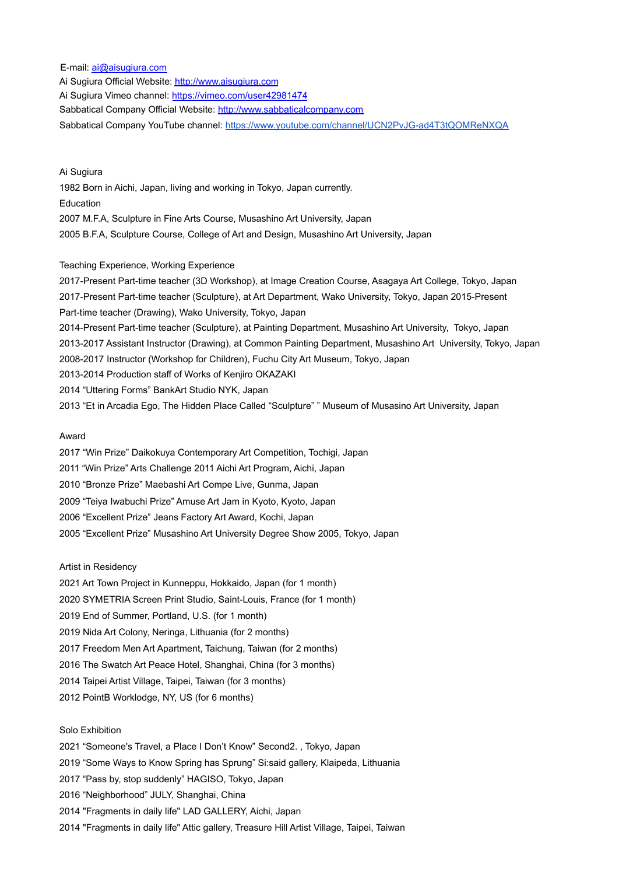E-mail: ai@aisugiura.com Ai Sugiura Official Website: http://www.aisugiura.com Ai Sugiura Vimeo channel: https://vimeo.com/user42981474 Sabbatical Company Official Website: http://www.sabbaticalcompany.com Sabbatical Company YouTube channel: <https://www.youtube.com/channel/UCN2PvJG-ad4T3tQOMReNXQA>

Ai Sugiura 1982 Born in Aichi, Japan, living and working in Tokyo, Japan currently. Education 2007 M.F.A, Sculpture in Fine Arts Course, Musashino Art University, Japan 2005 B.F.A, Sculpture Course, College of Art and Design, Musashino Art University, Japan

### Teaching Experience, Working Experience

2017-Present Part-time teacher (3D Workshop), at Image Creation Course, Asagaya Art College, Tokyo, Japan 2017-Present Part-time teacher (Sculpture), at Art Department, Wako University, Tokyo, Japan 2015-Present Part-time teacher (Drawing), Wako University, Tokyo, Japan 2014-Present Part-time teacher (Sculpture), at Painting Department, Musashino Art University, Tokyo, Japan 2013-2017 Assistant Instructor (Drawing), at Common Painting Department, Musashino Art University, Tokyo, Japan 2008-2017 Instructor (Workshop for Children), Fuchu City Art Museum, Tokyo, Japan 2013-2014 Production staff of Works of Kenjiro OKAZAKI 2014 "Uttering Forms" BankArt Studio NYK, Japan 2013 "Et in Arcadia Ego, The Hidden Place Called "Sculpture" " Museum of Musasino Art University, Japan

### Award

2017 "Win Prize" Daikokuya Contemporary Art Competition, Tochigi, Japan 2011 "Win Prize" Arts Challenge 2011 Aichi Art Program, Aichi, Japan 2010 "Bronze Prize" Maebashi Art Compe Live, Gunma, Japan 2009 "Teiya Iwabuchi Prize" Amuse Art Jam in Kyoto, Kyoto, Japan 2006 "Excellent Prize" Jeans Factory Art Award, Kochi, Japan 2005 "Excellent Prize" Musashino Art University Degree Show 2005, Tokyo, Japan

Artist in Residency

2021 Art Town Project in Kunneppu, Hokkaido, Japan (for 1 month)

2020 SYMETRIA Screen Print Studio, Saint-Louis, France (for 1 month)

2019 End of Summer, Portland, U.S. (for 1 month)

2019 Nida Art Colony, Neringa, Lithuania (for 2 months)

2017 Freedom Men Art Apartment, Taichung, Taiwan (for 2 months)

2016 The Swatch Art Peace Hotel, Shanghai, China (for 3 months)

2014 Taipei Artist Village, Taipei, Taiwan (for 3 months)

2012 PointB Worklodge, NY, US (for 6 months)

#### Solo Exhibition

2021 "Someone's Travel, a Place I Don't Know" Second2. , Tokyo, Japan

2019 "Some Ways to Know Spring has Sprung" Si:said gallery, Klaipeda, Lithuania

2017 "Pass by, stop suddenly" HAGISO, Tokyo, Japan

2016 "Neighborhood" JULY, Shanghai, China

2014 "Fragments in daily life" LAD GALLERY, Aichi, Japan

2014 "Fragments in daily life" Attic gallery, Treasure Hill Artist Village, Taipei, Taiwan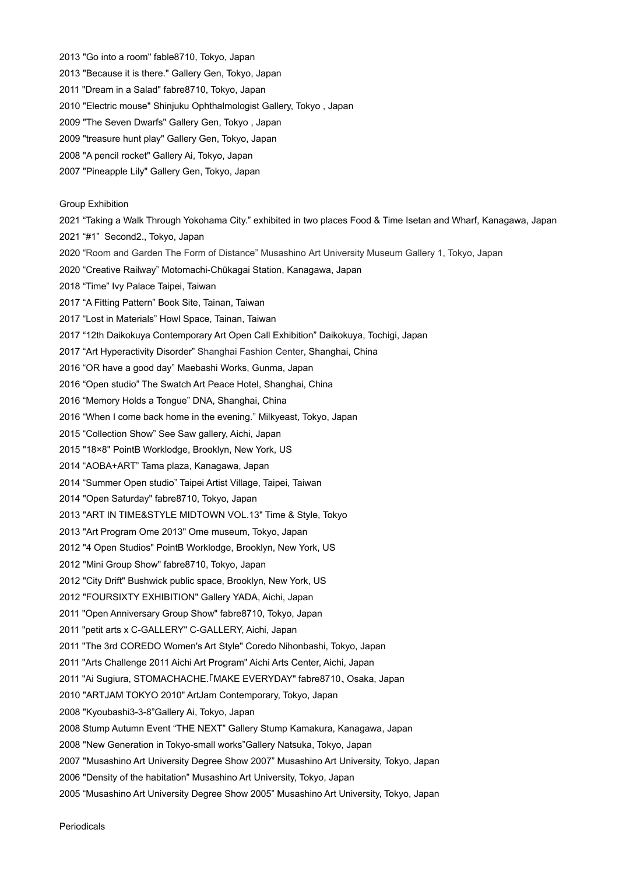2013 "Go into a room" fable8710, Tokyo, Japan

- 2013 "Because it is there." Gallery Gen, Tokyo, Japan
- 2011 "Dream in a Salad" fabre8710, Tokyo, Japan
- 2010 "Electric mouse" Shinjuku Ophthalmologist Gallery, Tokyo , Japan
- 2009 "The Seven Dwarfs" Gallery Gen, Tokyo , Japan
- 2009 "treasure hunt play" Gallery Gen, Tokyo, Japan
- 2008 "A pencil rocket" Gallery Ai, Tokyo, Japan
- 2007 "Pineapple Lily" Gallery Gen, Tokyo, Japan

#### Group Exhibition

2021 "Taking a Walk Through Yokohama City." exhibited in two places Food & Time Isetan and Wharf, Kanagawa, Japan

- 2021 "#1" Second2., Tokyo, Japan
- 2020 "Room and Garden The Form of Distance" Musashino Art University Museum Gallery 1, Tokyo, Japan
- 2020 "Creative Railway" Motomachi-Chūkagai Station, Kanagawa, Japan
- 2018 "Time" Ivy Palace Taipei, Taiwan
- 2017 "A Fitting Pattern" Book Site, Tainan, Taiwan
- 2017 "Lost in Materials" Howl Space, Tainan, Taiwan
- 2017 "12th Daikokuya Contemporary Art Open Call Exhibition" Daikokuya, Tochigi, Japan
- 2017 "Art Hyperactivity Disorder" Shanghai Fashion Center, Shanghai, China
- 2016 "OR have a good day" Maebashi Works, Gunma, Japan
- 2016 "Open studio" The Swatch Art Peace Hotel, Shanghai, China
- 2016 "Memory Holds a Tongue" DNA, Shanghai, China
- 2016 "When I come back home in the evening." Milkyeast, Tokyo, Japan
- 2015 "Collection Show" See Saw gallery, Aichi, Japan
- 2015 "18×8" PointB Worklodge, Brooklyn, New York, US
- 2014 "AOBA+ART" Tama plaza, Kanagawa, Japan
- 2014 "Summer Open studio" Taipei Artist Village, Taipei, Taiwan
- 2014 "Open Saturday" fabre8710, Tokyo, Japan
- 2013 "ART IN TIME&STYLE MIDTOWN VOL.13" Time & Style, Tokyo
- 2013 "Art Program Ome 2013" Ome museum, Tokyo, Japan
- 2012 "4 Open Studios" PointB Worklodge, Brooklyn, New York, US
- 2012 "Mini Group Show" fabre8710, Tokyo, Japan
- 2012 "City Drift" Bushwick public space, Brooklyn, New York, US
- 2012 "FOURSIXTY EXHIBITION" Gallery YADA, Aichi, Japan
- 2011 "Open Anniversary Group Show" fabre8710, Tokyo, Japan
- 2011 "petit arts x C-GALLERY" C-GALLERY, Aichi, Japan
- 2011 "The 3rd COREDO Women's Art Style" Coredo Nihonbashi, Tokyo, Japan
- 2011 "Arts Challenge 2011 Aichi Art Program" Aichi Arts Center, Aichi, Japan
- 2011 "Ai Sugiura, STOMACHACHE.「MAKE EVERYDAY" fabre8710、Osaka, Japan
- 2010 "ARTJAM TOKYO 2010" ArtJam Contemporary, Tokyo, Japan
- 2008 "Kyoubashi3-3-8"Gallery Ai, Tokyo, Japan
- 2008 Stump Autumn Event "THE NEXT" Gallery Stump Kamakura, Kanagawa, Japan
- 2008 "New Generation in Tokyo-small works"Gallery Natsuka, Tokyo, Japan
- 2007 "Musashino Art University Degree Show 2007" Musashino Art University, Tokyo, Japan
- 2006 "Density of the habitation" Musashino Art University, Tokyo, Japan
- 2005 "Musashino Art University Degree Show 2005" Musashino Art University, Tokyo, Japan